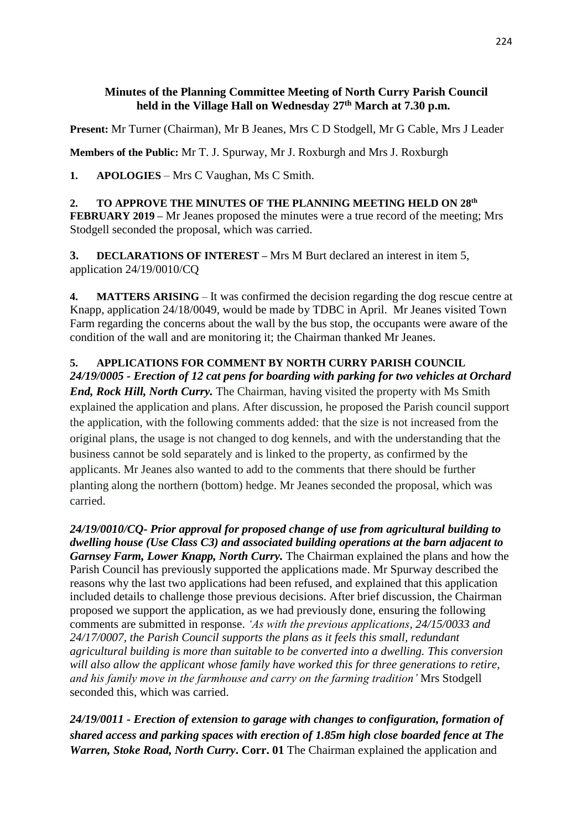#### **Minutes of the Planning Committee Meeting of North Curry Parish Council held in the Village Hall on Wednesday 27th March at 7.30 p.m.**

**Present:** Mr Turner (Chairman), Mr B Jeanes, Mrs C D Stodgell, Mr G Cable, Mrs J Leader

**Members of the Public:** Mr T. J. Spurway, Mr J. Roxburgh and Mrs J. Roxburgh

**1. APOLOGIES** – Mrs C Vaughan, Ms C Smith.

**2. TO APPROVE THE MINUTES OF THE PLANNING MEETING HELD ON 28th FEBRUARY 2019 –** Mr Jeanes proposed the minutes were a true record of the meeting; Mrs Stodgell seconded the proposal, which was carried.

**3. DECLARATIONS OF INTEREST –** Mrs M Burt declared an interest in item 5, application 24/19/0010/CQ

**4. MATTERS ARISING** – It was confirmed the decision regarding the dog rescue centre at Knapp, application 24/18/0049, would be made by TDBC in April. Mr Jeanes visited Town Farm regarding the concerns about the wall by the bus stop, the occupants were aware of the condition of the wall and are monitoring it; the Chairman thanked Mr Jeanes.

# **5. APPLICATIONS FOR COMMENT BY NORTH CURRY PARISH COUNCIL**

*24/19/0005 - Erection of 12 cat pens for boarding with parking for two vehicles at Orchard End, Rock Hill, North Curry.* The Chairman, having visited the property with Ms Smith explained the application and plans. After discussion, he proposed the Parish council support the application, with the following comments added: that the size is not increased from the original plans, the usage is not changed to dog kennels, and with the understanding that the business cannot be sold separately and is linked to the property, as confirmed by the applicants. Mr Jeanes also wanted to add to the comments that there should be further planting along the northern (bottom) hedge. Mr Jeanes seconded the proposal, which was carried.

*24/19/0010/CQ- Prior approval for proposed change of use from agricultural building to dwelling house (Use Class C3) and associated building operations at the barn adjacent to Garnsey Farm, Lower Knapp, North Curry.* The Chairman explained the plans and how the Parish Council has previously supported the applications made. Mr Spurway described the reasons why the last two applications had been refused, and explained that this application included details to challenge those previous decisions. After brief discussion, the Chairman proposed we support the application, as we had previously done, ensuring the following comments are submitted in response. *'As with the previous applications, 24/15/0033 and 24/17/0007, the Parish Council supports the plans as it feels this small, redundant agricultural building is more than suitable to be converted into a dwelling. This conversion will also allow the applicant whose family have worked this for three generations to retire, and his family move in the farmhouse and carry on the farming tradition'* Mrs Stodgell seconded this, which was carried.

*24/19/0011 - Erection of extension to garage with changes to configuration, formation of shared access and parking spaces with erection of 1.85m high close boarded fence at The Warren, Stoke Road, North Curry, Corr.* 01 The Chairman explained the application and